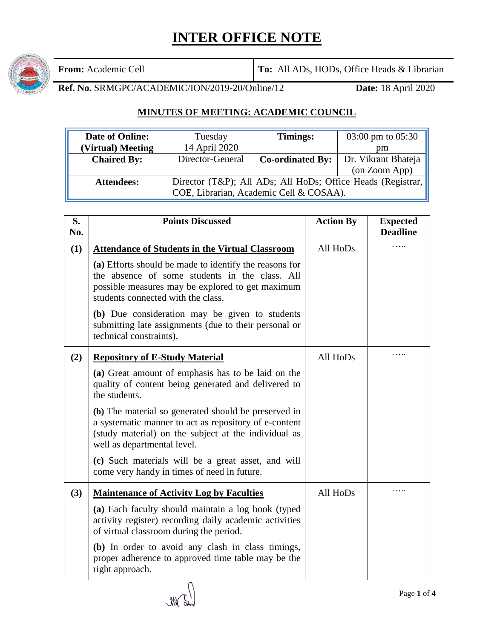## **INTER OFFICE NOTE**



**From:** Academic Cell **To:** All ADs, HODs, Office Heads & Librarian

**Ref. No.** SRMGPC/ACADEMIC/ION/2019-20/Online/12 **Date:** 18 April 2020

## **MINUTES OF MEETING: ACADEMIC COUNCIL**

| <b>Date of Online:</b> | Tuesday                                                                                                | Timings:                | $03:00 \text{ pm}$ to $05:30$ |
|------------------------|--------------------------------------------------------------------------------------------------------|-------------------------|-------------------------------|
| (Virtual) Meeting      | 14 April 2020                                                                                          |                         | pm                            |
| <b>Chaired By:</b>     | Director-General                                                                                       | <b>Co-ordinated By:</b> | Dr. Vikrant Bhateja           |
|                        |                                                                                                        |                         | (on Zoom App)                 |
| <b>Attendees:</b>      | Director (T&P); All ADs; All HoDs; Office Heads (Registrar,<br>COE, Librarian, Academic Cell & COSAA). |                         |                               |

| S.<br>No. | <b>Points Discussed</b>                                                                                                                                                                              | <b>Action By</b> | <b>Expected</b><br><b>Deadline</b> |
|-----------|------------------------------------------------------------------------------------------------------------------------------------------------------------------------------------------------------|------------------|------------------------------------|
| (1)       | <b>Attendance of Students in the Virtual Classroom</b>                                                                                                                                               | All HoDs         |                                    |
|           | (a) Efforts should be made to identify the reasons for<br>the absence of some students in the class. All<br>possible measures may be explored to get maximum<br>students connected with the class.   |                  |                                    |
|           | (b) Due consideration may be given to students<br>submitting late assignments (due to their personal or<br>technical constraints).                                                                   |                  |                                    |
| (2)       | <b>Repository of E-Study Material</b>                                                                                                                                                                | All HoDs         | .                                  |
|           | (a) Great amount of emphasis has to be laid on the<br>quality of content being generated and delivered to<br>the students.                                                                           |                  |                                    |
|           | (b) The material so generated should be preserved in<br>a systematic manner to act as repository of e-content<br>(study material) on the subject at the individual as<br>well as departmental level. |                  |                                    |
|           | (c) Such materials will be a great asset, and will<br>come very handy in times of need in future.                                                                                                    |                  |                                    |
| (3)       | <b>Maintenance of Activity Log by Faculties</b>                                                                                                                                                      | All HoDs         |                                    |
|           | (a) Each faculty should maintain a log book (typed<br>activity register) recording daily academic activities<br>of virtual classroom during the period.                                              |                  |                                    |
|           | (b) In order to avoid any clash in class timings,<br>proper adherence to approved time table may be the<br>right approach.                                                                           |                  |                                    |

WS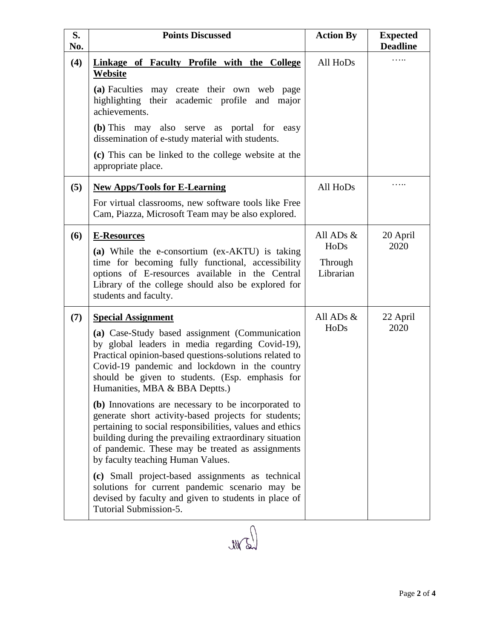| S.<br>No. | <b>Points Discussed</b>                                                                                                                                                                                                                                                                                                                                                                                                                                                                                                                                                                                                                                                                                                                                                                                                                              | <b>Action By</b>                            | <b>Expected</b><br><b>Deadline</b> |
|-----------|------------------------------------------------------------------------------------------------------------------------------------------------------------------------------------------------------------------------------------------------------------------------------------------------------------------------------------------------------------------------------------------------------------------------------------------------------------------------------------------------------------------------------------------------------------------------------------------------------------------------------------------------------------------------------------------------------------------------------------------------------------------------------------------------------------------------------------------------------|---------------------------------------------|------------------------------------|
| (4)       | <b>Linkage of Faculty Profile with the College</b><br>Website<br>(a) Faculties may create their own web page<br>highlighting their academic profile and major                                                                                                                                                                                                                                                                                                                                                                                                                                                                                                                                                                                                                                                                                        | All HoDs                                    |                                    |
|           | achievements.<br>(b) This may also serve as portal for easy<br>dissemination of e-study material with students.<br>(c) This can be linked to the college website at the<br>appropriate place.                                                                                                                                                                                                                                                                                                                                                                                                                                                                                                                                                                                                                                                        |                                             |                                    |
| (5)       | <b>New Apps/Tools for E-Learning</b><br>For virtual classrooms, new software tools like Free<br>Cam, Piazza, Microsoft Team may be also explored.                                                                                                                                                                                                                                                                                                                                                                                                                                                                                                                                                                                                                                                                                                    | All HoDs                                    |                                    |
| (6)       | <b>E-Resources</b><br>(a) While the e-consortium (ex-AKTU) is taking<br>time for becoming fully functional, accessibility<br>options of E-resources available in the Central<br>Library of the college should also be explored for<br>students and faculty.                                                                                                                                                                                                                                                                                                                                                                                                                                                                                                                                                                                          | All ADs $&$<br>HoDs<br>Through<br>Librarian | 20 April<br>2020                   |
| (7)       | <b>Special Assignment</b><br>(a) Case-Study based assignment (Communication<br>by global leaders in media regarding Covid-19),<br>Practical opinion-based questions-solutions related to<br>Covid-19 pandemic and lockdown in the country<br>should be given to students. (Esp. emphasis for<br>Humanities, MBA & BBA Deptts.)<br>(b) Innovations are necessary to be incorporated to<br>generate short activity-based projects for students;<br>pertaining to social responsibilities, values and ethics<br>building during the prevailing extraordinary situation<br>of pandemic. These may be treated as assignments<br>by faculty teaching Human Values.<br>(c) Small project-based assignments as technical<br>solutions for current pandemic scenario may be<br>devised by faculty and given to students in place of<br>Tutorial Submission-5. | All ADs &<br>HoDs                           | 22 April<br>2020                   |
|           |                                                                                                                                                                                                                                                                                                                                                                                                                                                                                                                                                                                                                                                                                                                                                                                                                                                      |                                             |                                    |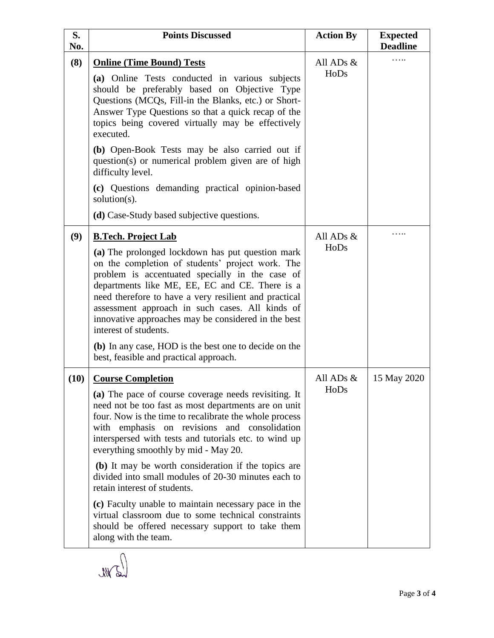| S.<br>No. | <b>Points Discussed</b>                                                                                                                                                                                                                                                                                                                                                                                                                                                                                                                                                                                                                                                                      | <b>Action By</b>    | <b>Expected</b><br><b>Deadline</b> |
|-----------|----------------------------------------------------------------------------------------------------------------------------------------------------------------------------------------------------------------------------------------------------------------------------------------------------------------------------------------------------------------------------------------------------------------------------------------------------------------------------------------------------------------------------------------------------------------------------------------------------------------------------------------------------------------------------------------------|---------------------|------------------------------------|
| (8)       | <b>Online (Time Bound) Tests</b><br>(a) Online Tests conducted in various subjects<br>should be preferably based on Objective Type<br>Questions (MCQs, Fill-in the Blanks, etc.) or Short-<br>Answer Type Questions so that a quick recap of the<br>topics being covered virtually may be effectively<br>executed.<br>(b) Open-Book Tests may be also carried out if<br>question(s) or numerical problem given are of high<br>difficulty level.<br>(c) Questions demanding practical opinion-based<br>solution $(s)$ .<br>(d) Case-Study based subjective questions.                                                                                                                         | All ADs $&$<br>HoDs |                                    |
| (9)       | <b>B.Tech. Project Lab</b><br>(a) The prolonged lockdown has put question mark<br>on the completion of students' project work. The<br>problem is accentuated specially in the case of<br>departments like ME, EE, EC and CE. There is a<br>need therefore to have a very resilient and practical<br>assessment approach in such cases. All kinds of<br>innovative approaches may be considered in the best<br>interest of students.<br>(b) In any case, HOD is the best one to decide on the<br>best, feasible and practical approach.                                                                                                                                                       | All ADs $&$<br>HoDs |                                    |
| (10)      | <b>Course Completion</b><br>(a) The pace of course coverage needs revisiting. It<br>need not be too fast as most departments are on unit<br>four. Now is the time to recalibrate the whole process<br>with emphasis on revisions and consolidation<br>interspersed with tests and tutorials etc. to wind up<br>everything smoothly by mid - May 20.<br>(b) It may be worth consideration if the topics are<br>divided into small modules of 20-30 minutes each to<br>retain interest of students.<br>(c) Faculty unable to maintain necessary pace in the<br>virtual classroom due to some technical constraints<br>should be offered necessary support to take them<br>along with the team. | All ADs &<br>HoDs   | 15 May 2020                        |